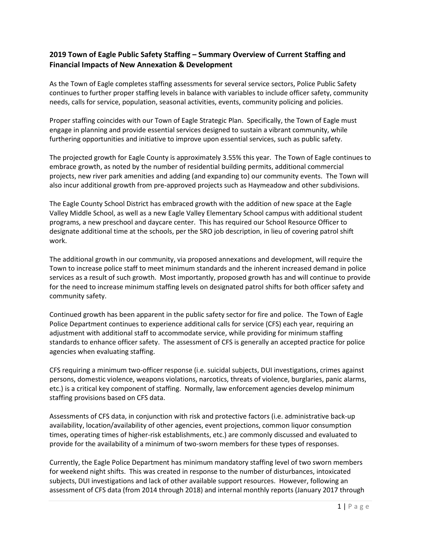## **2019 Town of Eagle Public Safety Staffing – Summary Overview of Current Staffing and Financial Impacts of New Annexation & Development**

As the Town of Eagle completes staffing assessments for several service sectors, Police Public Safety continues to further proper staffing levels in balance with variables to include officer safety, community needs, calls for service, population, seasonal activities, events, community policing and policies.

Proper staffing coincides with our Town of Eagle Strategic Plan. Specifically, the Town of Eagle must engage in planning and provide essential services designed to sustain a vibrant community, while furthering opportunities and initiative to improve upon essential services, such as public safety.

The projected growth for Eagle County is approximately 3.55% this year. The Town of Eagle continues to embrace growth, as noted by the number of residential building permits, additional commercial projects, new river park amenities and adding (and expanding to) our community events. The Town will also incur additional growth from pre-approved projects such as Haymeadow and other subdivisions.

The Eagle County School District has embraced growth with the addition of new space at the Eagle Valley Middle School, as well as a new Eagle Valley Elementary School campus with additional student programs, a new preschool and daycare center. This has required our School Resource Officer to designate additional time at the schools, per the SRO job description, in lieu of covering patrol shift work.

The additional growth in our community, via proposed annexations and development, will require the Town to increase police staff to meet minimum standards and the inherent increased demand in police services as a result of such growth. Most importantly, proposed growth has and will continue to provide for the need to increase minimum staffing levels on designated patrol shifts for both officer safety and community safety.

Continued growth has been apparent in the public safety sector for fire and police. The Town of Eagle Police Department continues to experience additional calls for service (CFS) each year, requiring an adjustment with additional staff to accommodate service, while providing for minimum staffing standards to enhance officer safety. The assessment of CFS is generally an accepted practice for police agencies when evaluating staffing.

CFS requiring a minimum two-officer response (i.e. suicidal subjects, DUI investigations, crimes against persons, domestic violence, weapons violations, narcotics, threats of violence, burglaries, panic alarms, etc.) is a critical key component of staffing. Normally, law enforcement agencies develop minimum staffing provisions based on CFS data.

Assessments of CFS data, in conjunction with risk and protective factors (i.e. administrative back-up availability, location/availability of other agencies, event projections, common liquor consumption times, operating times of higher-risk establishments, etc.) are commonly discussed and evaluated to provide for the availability of a minimum of two-sworn members for these types of responses.

Currently, the Eagle Police Department has minimum mandatory staffing level of two sworn members for weekend night shifts. This was created in response to the number of disturbances, intoxicated subjects, DUI investigations and lack of other available support resources. However, following an assessment of CFS data (from 2014 through 2018) and internal monthly reports (January 2017 through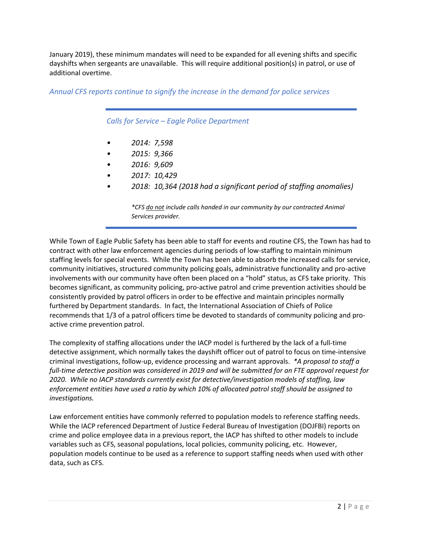January 2019), these minimum mandates will need to be expanded for all evening shifts and specific dayshifts when sergeants are unavailable. This will require additional position(s) in patrol, or use of additional overtime.

*Annual CFS reports continue to signify the increase in the demand for police services*

*Calls for Service – Eagle Police Department*

- *• 2014: 7,598*
- *• 2015: 9,366*
- *• 2016: 9,609*
- *• 2017: 10,429*
- *• 2018: 10,364 (2018 had a significant period of staffing anomalies)*

*\*CFS do not include calls handed in our community by our contracted Animal Services provider.*

While Town of Eagle Public Safety has been able to staff for events and routine CFS, the Town has had to contract with other law enforcement agencies during periods of low-staffing to maintain minimum staffing levels for special events. While the Town has been able to absorb the increased calls for service, community initiatives, structured community policing goals, administrative functionality and pro-active involvements with our community have often been placed on a "hold" status, as CFS take priority. This becomes significant, as community policing, pro-active patrol and crime prevention activities should be consistently provided by patrol officers in order to be effective and maintain principles normally furthered by Department standards. In fact, the International Association of Chiefs of Police recommends that 1/3 of a patrol officers time be devoted to standards of community policing and proactive crime prevention patrol.

The complexity of staffing allocations under the IACP model is furthered by the lack of a full-time detective assignment, which normally takes the dayshift officer out of patrol to focus on time-intensive criminal investigations, follow-up, evidence processing and warrant approvals. *\*A proposal to staff a full-time detective position was considered in 2019 and will be submitted for an FTE approval request for 2020. While no IACP standards currently exist for detective/investigation models of staffing, law enforcement entities have used a ratio by which 10% of allocated patrol staff should be assigned to investigations.* 

Law enforcement entities have commonly referred to population models to reference staffing needs. While the IACP referenced Department of Justice Federal Bureau of Investigation (DOJFBI) reports on crime and police employee data in a previous report, the IACP has shifted to other models to include variables such as CFS, seasonal populations, local policies, community policing, etc. However, population models continue to be used as a reference to support staffing needs when used with other data, such as CFS.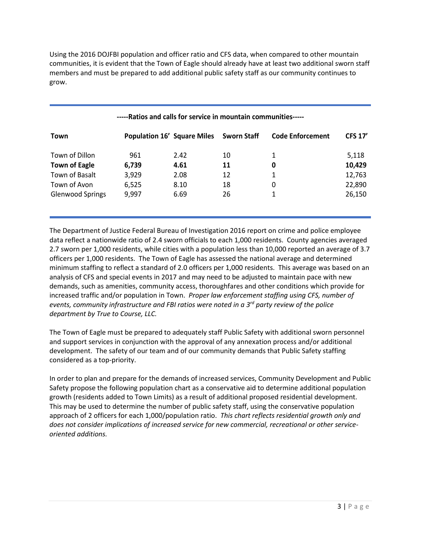Using the 2016 DOJFBI population and officer ratio and CFS data, when compared to other mountain communities, it is evident that the Town of Eagle should already have at least two additional sworn staff members and must be prepared to add additional public safety staff as our community continues to grow.

| Town                    | <b>Population 16' Square Miles</b> |      | <b>Sworn Staff</b> | <b>Code Enforcement</b> | <b>CFS 17'</b> |
|-------------------------|------------------------------------|------|--------------------|-------------------------|----------------|
| Town of Dillon          | 961                                | 2.42 | 10                 | 1                       | 5,118          |
| <b>Town of Eagle</b>    | 6,739                              | 4.61 | 11                 | 0                       | 10,429         |
| Town of Basalt          | 3,929                              | 2.08 | 12                 | 1                       | 12,763         |
| Town of Avon            | 6,525                              | 8.10 | 18                 | 0                       | 22,890         |
| <b>Glenwood Springs</b> | 9,997                              | 6.69 | 26                 |                         | 26,150         |

## **-----Ratios and calls for service in mountain communities-----**

The Department of Justice Federal Bureau of Investigation 2016 report on crime and police employee data reflect a nationwide ratio of 2.4 sworn officials to each 1,000 residents. County agencies averaged 2.7 sworn per 1,000 residents, while cities with a population less than 10,000 reported an average of 3.7 officers per 1,000 residents. The Town of Eagle has assessed the national average and determined minimum staffing to reflect a standard of 2.0 officers per 1,000 residents. This average was based on an analysis of CFS and special events in 2017 and may need to be adjusted to maintain pace with new demands, such as amenities, community access, thoroughfares and other conditions which provide for increased traffic and/or population in Town. *Proper law enforcement staffing using CFS, number of events, community infrastructure and FBI ratios were noted in a 3rd party review of the police department by True to Course, LLC.*

The Town of Eagle must be prepared to adequately staff Public Safety with additional sworn personnel and support services in conjunction with the approval of any annexation process and/or additional development. The safety of our team and of our community demands that Public Safety staffing considered as a top-priority.

In order to plan and prepare for the demands of increased services, Community Development and Public Safety propose the following population chart as a conservative aid to determine additional population growth (residents added to Town Limits) as a result of additional proposed residential development. This may be used to determine the number of public safety staff, using the conservative population approach of 2 officers for each 1,000/population ratio. *This chart reflects residential growth only and does not consider implications of increased service for new commercial, recreational or other serviceoriented additions.*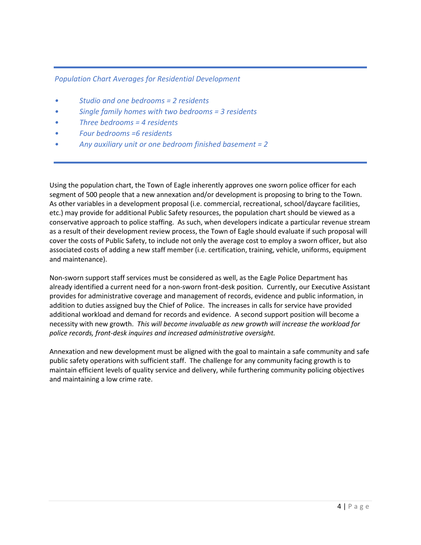## *Population Chart Averages for Residential Development*

- *• Studio and one bedrooms = 2 residents*
- *• Single family homes with two bedrooms = 3 residents*
- *• Three bedrooms = 4 residents*
- *• Four bedrooms =6 residents*
- *• Any auxiliary unit or one bedroom finished basement = 2*

Using the population chart, the Town of Eagle inherently approves one sworn police officer for each segment of 500 people that a new annexation and/or development is proposing to bring to the Town. As other variables in a development proposal (i.e. commercial, recreational, school/daycare facilities, etc.) may provide for additional Public Safety resources, the population chart should be viewed as a conservative approach to police staffing. As such, when developers indicate a particular revenue stream as a result of their development review process, the Town of Eagle should evaluate if such proposal will cover the costs of Public Safety, to include not only the average cost to employ a sworn officer, but also associated costs of adding a new staff member (i.e. certification, training, vehicle, uniforms, equipment and maintenance).

Non-sworn support staff services must be considered as well, as the Eagle Police Department has already identified a current need for a non-sworn front-desk position. Currently, our Executive Assistant provides for administrative coverage and management of records, evidence and public information, in addition to duties assigned buy the Chief of Police. The increases in calls for service have provided additional workload and demand for records and evidence. A second support position will become a necessity with new growth. *This will become invaluable as new growth will increase the workload for police records, front-desk inquires and increased administrative oversight.* 

Annexation and new development must be aligned with the goal to maintain a safe community and safe public safety operations with sufficient staff. The challenge for any community facing growth is to maintain efficient levels of quality service and delivery, while furthering community policing objectives and maintaining a low crime rate.